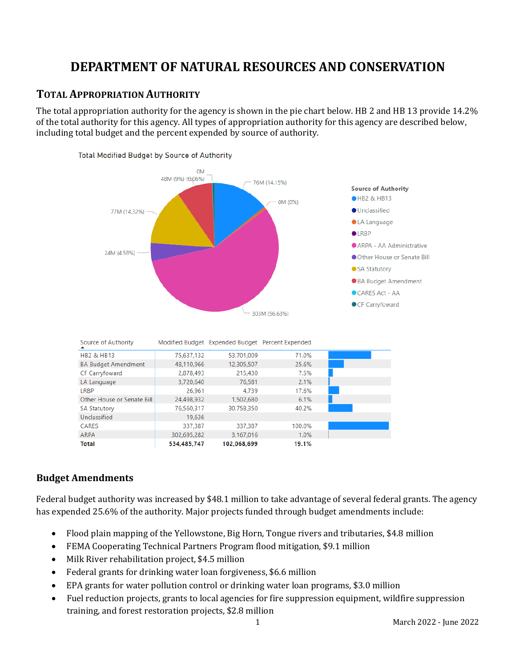# **DEPARTMENT OF NATURAL RESOURCES AND CONSERVATION**

## **TOTAL APPROPRIATION AUTHORITY**

The total appropriation authority for the agency is shown in the pie chart below. HB 2 and HB 13 provide 14.2% of the total authority for this agency. All types of appropriation authority for this agency are described below, including total budget and the percent expended by source of authority.



## **Budget Amendments**

Federal budget authority was increased by \$48.1 million to take advantage of several federal grants. The agency has expended 25.6% of the authority. Major projects funded through budget amendments include:

- Flood plain mapping of the Yellowstone, Big Horn, Tongue rivers and tributaries, \$4.8 million
- FEMA Cooperating Technical Partners Program flood mitigation, \$9.1 million
- Milk River rehabilitation project, \$4.5 million
- Federal grants for drinking water loan forgiveness, \$6.6 million
- EPA grants for water pollution control or drinking water loan programs, \$3.0 million
- Fuel reduction projects, grants to local agencies for fire suppression equipment, wildfire suppression training, and forest restoration projects, \$2.8 million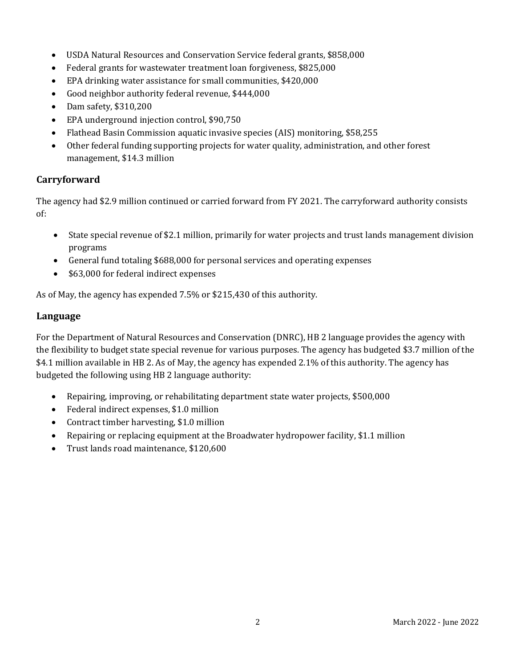- USDA Natural Resources and Conservation Service federal grants, \$858,000
- Federal grants for wastewater treatment loan forgiveness, \$825,000
- EPA drinking water assistance for small communities, \$420,000
- Good neighbor authority federal revenue, \$444,000
- Dam safety, \$310,200
- EPA underground injection control, \$90,750
- Flathead Basin Commission aquatic invasive species (AIS) monitoring, \$58,255
- Other federal funding supporting projects for water quality, administration, and other forest management, \$14.3 million

## **Carryforward**

The agency had \$2.9 million continued or carried forward from FY 2021. The carryforward authority consists of:

- State special revenue of \$2.1 million, primarily for water projects and trust lands management division programs
- General fund totaling \$688,000 for personal services and operating expenses
- \$63,000 for federal indirect expenses

As of May, the agency has expended 7.5% or \$215,430 of this authority.

## **Language**

For the Department of Natural Resources and Conservation (DNRC), HB 2 language provides the agency with the flexibility to budget state special revenue for various purposes. The agency has budgeted \$3.7 million of the \$4.1 million available in HB 2. As of May, the agency has expended 2.1% of this authority. The agency has budgeted the following using HB 2 language authority:

- Repairing, improving, or rehabilitating department state water projects, \$500,000
- Federal indirect expenses, \$1.0 million
- Contract timber harvesting, \$1.0 million
- Repairing or replacing equipment at the Broadwater hydropower facility, \$1.1 million
- Trust lands road maintenance, \$120,600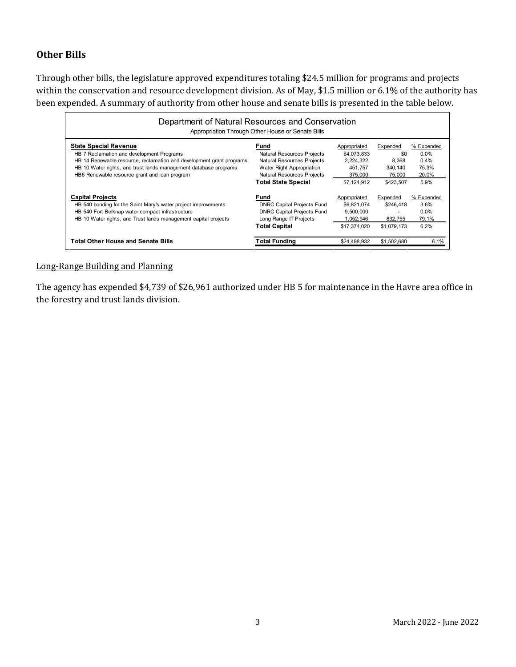## **Other Bills**

Through other bills, the legislature approved expenditures totaling \$24.5 million for programs and projects within the conservation and resource development division. As of May, \$1.5 million or 6.1% of the authority has been expended. A summary of authority from other house and senate bills is presented in the table below.

| Department of Natural Resources and Conservation<br>Appropriation Through Other House or Senate Bills                                                                                                            |                                                                                                          |                                                       |                                  |                                        |  |  |  |
|------------------------------------------------------------------------------------------------------------------------------------------------------------------------------------------------------------------|----------------------------------------------------------------------------------------------------------|-------------------------------------------------------|----------------------------------|----------------------------------------|--|--|--|
| <b>State Special Revenue</b><br>HB 7 Reclamation and development Programs                                                                                                                                        | Fund<br><b>Natural Resources Projects</b>                                                                | Appropriated<br>\$4,073,833                           | Expended<br>\$0                  | % Expended<br>0.0%                     |  |  |  |
| HB 14 Renewable resource, reclamation and development grant programs<br>HB 10 Water rights, and trust lands management database programs<br>HB6 Renewable resource grant and loan program                        | <b>Natural Resources Projects</b><br>Water Right Appropriation<br><b>Natural Resources Projects</b>      | 2,224,322<br>451.757<br>375,000                       | 8.368<br>340.140<br>75,000       | $0.4\%$<br>75.3%<br>20.0%              |  |  |  |
|                                                                                                                                                                                                                  | <b>Total State Special</b>                                                                               | \$7.124.912                                           | \$423,507                        | 5.9%                                   |  |  |  |
| <b>Capital Projects</b><br>HB 540 bonding for the Saint Mary's water project improvements<br>HB 540 Fort Belknap water compact infrastructure<br>HB 10 Water rights, and Trust lands management capital projects | Fund<br><b>DNRC Capital Projects Fund</b><br><b>DNRC Capital Projects Fund</b><br>Long Range IT Projects | Appropriated<br>\$6.821.074<br>9.500.000<br>1,052,946 | Expended<br>\$246,418<br>832.755 | % Expended<br>3.6%<br>$0.0\%$<br>79.1% |  |  |  |
|                                                                                                                                                                                                                  | <b>Total Capital</b>                                                                                     | \$17,374,020                                          | \$1,079.173                      | 6.2%                                   |  |  |  |
| <b>Total Other House and Senate Bills</b>                                                                                                                                                                        | Total Funding                                                                                            | \$24,498,932                                          | \$1,502,680                      | 6.1%                                   |  |  |  |

## Long-Range Building and Planning

The agency has expended \$4,739 of \$26,961 authorized under HB 5 for maintenance in the Havre area office in the forestry and trust lands division.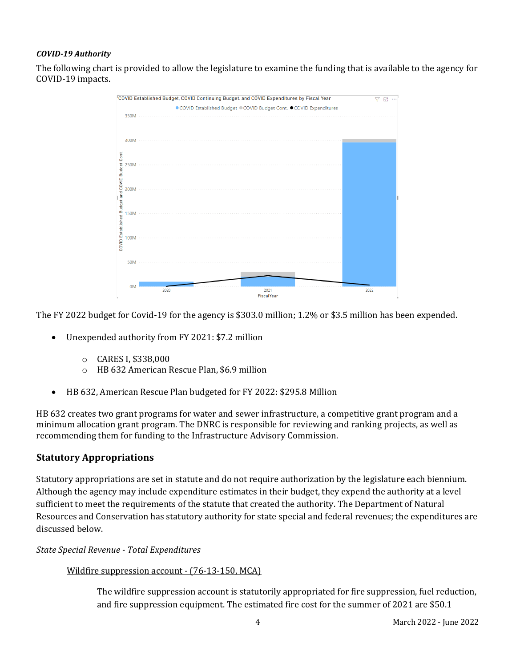### *COVID-19 Authority*

The following chart is provided to allow the legislature to examine the funding that is available to the agency for COVID-19 impacts.



The FY 2022 budget for Covid-19 for the agency is \$303.0 million; 1.2% or \$3.5 million has been expended.

- Unexpended authority from FY 2021: \$7.2 million
	- $\circ$  CARES I, \$338,000<br> $\circ$  HB 632 American F
	- o HB 632 American Rescue Plan, \$6.9 million
- HB 632, American Rescue Plan budgeted for FY 2022: \$295.8 Million

HB 632 creates two grant programs for water and sewer infrastructure, a competitive grant program and a minimum allocation grant program. The DNRC is responsible for reviewing and ranking projects, as well as recommending them for funding to the Infrastructure Advisory Commission.

## **Statutory Appropriations**

Statutory appropriations are set in statute and do not require authorization by the legislature each biennium. Although the agency may include expenditure estimates in their budget, they expend the authority at a level sufficient to meet the requirements of the statute that created the authority. The Department of Natural Resources and Conservation has statutory authority for state special and federal revenues; the expenditures are discussed below.

### *State Special Revenue - Total Expenditures*

### Wildfire suppression account - (76-13-150, MCA)

The wildfire suppression account is statutorily appropriated for fire suppression, fuel reduction, and fire suppression equipment. The estimated fire cost for the summer of 2021 are \$50.1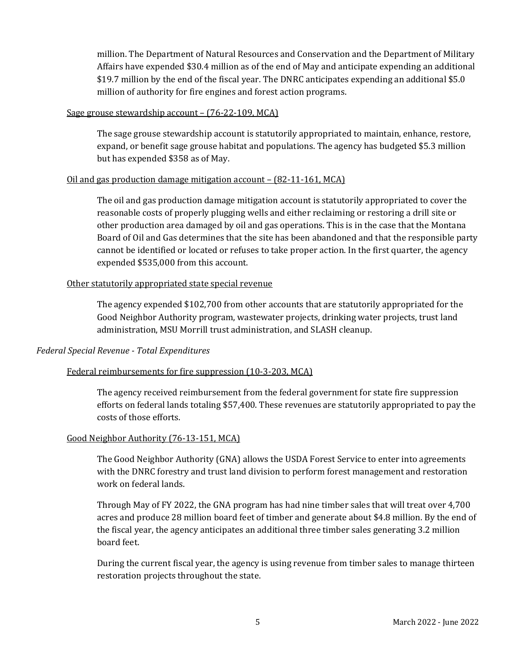million. The Department of Natural Resources and Conservation and the Department of Military Affairs have expended \$30.4 million as of the end of May and anticipate expending an additional \$19.7 million by the end of the fiscal year. The DNRC anticipates expending an additional \$5.0 million of authority for fire engines and forest action programs.

#### Sage grouse stewardship account – (76-22-109, MCA)

The sage grouse stewardship account is statutorily appropriated to maintain, enhance, restore, expand, or benefit sage grouse habitat and populations. The agency has budgeted \$5.3 million but has expended \$358 as of May.

### Oil and gas production damage mitigation account – (82-11-161, MCA)

The oil and gas production damage mitigation account is statutorily appropriated to cover the reasonable costs of properly plugging wells and either reclaiming or restoring a drill site or other production area damaged by oil and gas operations. This is in the case that the Montana Board of Oil and Gas determines that the site has been abandoned and that the responsible party cannot be identified or located or refuses to take proper action. In the first quarter, the agency expended \$535,000 from this account.

### Other statutorily appropriated state special revenue

The agency expended \$102,700 from other accounts that are statutorily appropriated for the Good Neighbor Authority program, wastewater projects, drinking water projects, trust land administration, MSU Morrill trust administration, and SLASH cleanup.

### *Federal Special Revenue - Total Expenditures*

## Federal reimbursements for fire suppression (10-3-203, MCA)

The agency received reimbursement from the federal government for state fire suppression efforts on federal lands totaling \$57,400. These revenues are statutorily appropriated to pay the costs of those efforts.

### Good Neighbor Authority (76-13-151, MCA)

The Good Neighbor Authority (GNA) allows the USDA Forest Service to enter into agreements with the DNRC forestry and trust land division to perform forest management and restoration work on federal lands.

Through May of FY 2022, the GNA program has had nine timber sales that will treat over 4,700 acres and produce 28 million board feet of timber and generate about \$4.8 million. By the end of the fiscal year, the agency anticipates an additional three timber sales generating 3.2 million board feet.

During the current fiscal year, the agency is using revenue from timber sales to manage thirteen restoration projects throughout the state.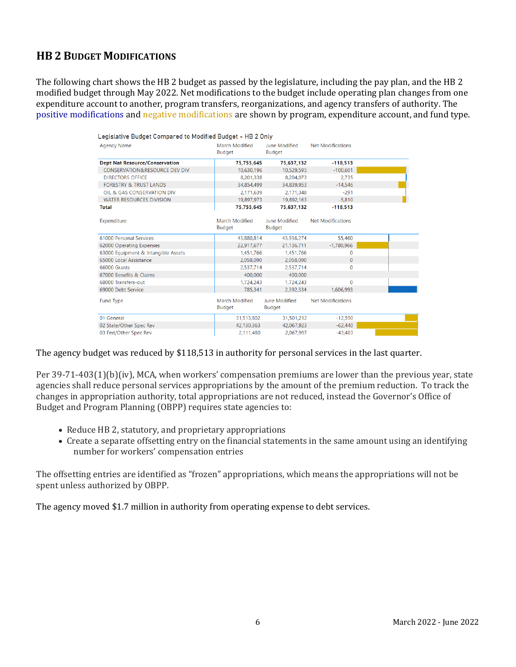## **HB 2 BUDGET MODIFICATIONS**

The following chart shows the HB 2 budget as passed by the legislature, including the pay plan, and the HB 2 modified budget through May 2022. Net modifications to the budget include operating plan changes from one expenditure account to another, program transfers, reorganizations, and agency transfers of authority. The positive modifications and negative modifications are shown by program, expenditure account, and fund type.

| Legislative Budget Compared to Modified Budget - HB 2 Only |                                 |                                |                          |  |
|------------------------------------------------------------|---------------------------------|--------------------------------|--------------------------|--|
| <b>Agency Name</b>                                         | March Modified<br><b>Budget</b> | June Modified<br><b>Budget</b> | <b>Net Modifications</b> |  |
| <b>Dept Nat Resource/Conservation</b>                      | 75,755,645                      | 75,637,132                     | $-118,513$               |  |
| <b>CONSERVATION&amp;RESOURCE DEV DIV</b>                   | 10,630,196                      | 10,529,595                     | $-100,601$               |  |
| <b>DIRECTORS OFFICE</b>                                    | 8,201,338                       | 8,204,073                      | 2.735                    |  |
| <b>FORESTRY &amp; TRUST LANDS</b>                          | 34.854.499                      | 34,839,953                     | $-14.546$                |  |
| OIL & GAS CONSERVATION DIV                                 | 2,171,639                       | 2,171,348                      | $-291$                   |  |
| <b>WATER RESOURCES DIVISION</b>                            | 19,897,973                      | 19,892,163                     | $-5.810$                 |  |
| Total                                                      | 75,755,645                      | 75,637,132                     | $-118,513$               |  |
| Expenditure                                                | March Modified<br>Budget        | June Modified<br><b>Budget</b> | <b>Net Modifications</b> |  |
| 61000 Personal Services                                    | 43,880,814                      | 43,936,274                     | 55,460                   |  |
| 62000 Operating Expenses                                   | 22,917,677                      | 21,136,711                     | $-1,780,966$             |  |
| 63000 Equipment & Intangible Assets                        | 1,451,766                       | 1,451,766                      | $\Omega$                 |  |
| 65000 Local Assistance                                     | 2,058,090                       | 2,058,090                      | $\mathbf{0}$             |  |
| <b>66000 Grants</b>                                        | 2.537.714                       | 2.537.714                      | $\Omega$                 |  |
| 67000 Benefits & Claims                                    | 400.000                         | 400.000                        |                          |  |
| 68000 Transfers-out                                        | 1.724.243                       | 1,724,243                      | $\Omega$                 |  |
| 69000 Debt Service                                         | 785,341                         | 2,392,334                      | 1,606,993                |  |
| <b>Fund Type</b>                                           | March Modified<br>Budget        | June Modified<br><b>Budget</b> | <b>Net Modifications</b> |  |
| 01 General                                                 | 31,513,802                      | 31,501,212                     | $-12.590$                |  |
| 02 State/Other Spec Rev                                    | 42,130,363                      | 42,067,923                     | $-62.440$                |  |
| 03 Fed/Other Spec Rev                                      | 2.111.480                       | 2.067.997                      | $-43.483$                |  |

The agency budget was reduced by \$118,513 in authority for personal services in the last quarter.

Per 39-71-403(1)(b)(iv), MCA, when workers' compensation premiums are lower than the previous year, state agencies shall reduce personal services appropriations by the amount of the premium reduction. To track the changes in appropriation authority, total appropriations are not reduced, instead the Governor's Office of Budget and Program Planning (OBPP) requires state agencies to:

- Reduce HB 2, statutory, and proprietary appropriations
- Create a separate offsetting entry on the financial statements in the same amount using an identifying number for workers' compensation entries

The offsetting entries are identified as "frozen" appropriations, which means the appropriations will not be spent unless authorized by OBPP.

The agency moved \$1.7 million in authority from operating expense to debt services.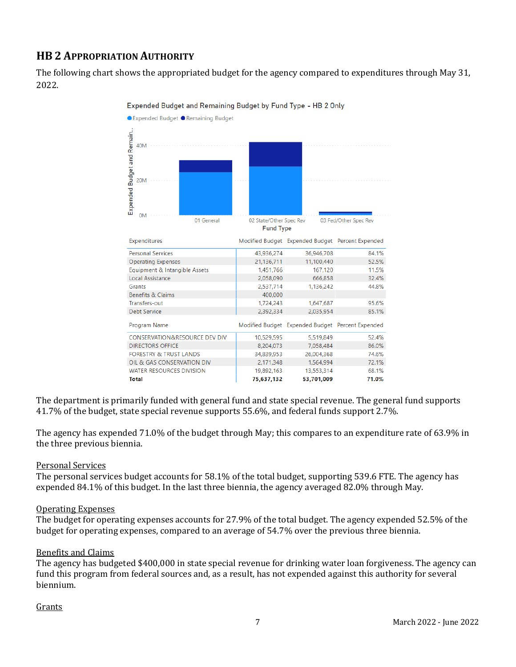## **HB 2 APPROPRIATION AUTHORITY**

The following chart shows the appropriated budget for the agency compared to expenditures through May 31, 2022.



Expended Budget and Remaining Budget by Fund Type - HB 2 Only

The department is primarily funded with general fund and state special revenue. The general fund supports 41.7% of the budget, state special revenue supports 55.6%, and federal funds support 2.7%.

The agency has expended 71.0% of the budget through May; this compares to an expenditure rate of 63.9% in the three previous biennia.

### Personal Services

The personal services budget accounts for 58.1% of the total budget, supporting 539.6 FTE. The agency has expended 84.1% of this budget. In the last three biennia, the agency averaged 82.0% through May.

### Operating Expenses

The budget for operating expenses accounts for 27.9% of the total budget. The agency expended 52.5% of the budget for operating expenses, compared to an average of 54.7% over the previous three biennia.

### Benefits and Claims

The agency has budgeted \$400,000 in state special revenue for drinking water loan forgiveness. The agency can fund this program from federal sources and, as a result, has not expended against this authority for several biennium.

### Grants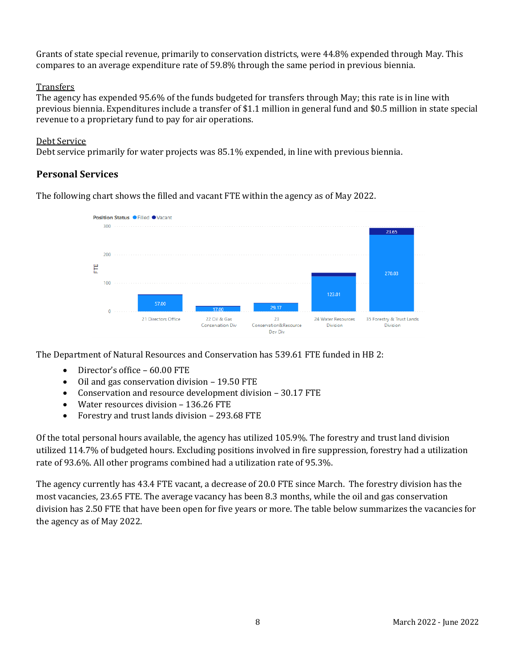Grants of state special revenue, primarily to conservation districts, were 44.8% expended through May. This compares to an average expenditure rate of 59.8% through the same period in previous biennia.

### **Transfers**

The agency has expended 95.6% of the funds budgeted for transfers through May; this rate is in line with previous biennia. Expenditures include a transfer of \$1.1 million in general fund and \$0.5 million in state special revenue to a proprietary fund to pay for air operations.

### Debt Service

Debt service primarily for water projects was 85.1% expended, in line with previous biennia.

## **Personal Services**

The following chart shows the filled and vacant FTE within the agency as of May 2022.

![](_page_7_Figure_7.jpeg)

The Department of Natural Resources and Conservation has 539.61 FTE funded in HB 2:

- Director's office 60.00 FTE
- Oil and gas conservation division 19.50 FTE
- Conservation and resource development division 30.17 FTE
- Water resources division 136.26 FTE
- Forestry and trust lands division 293.68 FTE

Of the total personal hours available, the agency has utilized 105.9%. The forestry and trust land division utilized 114.7% of budgeted hours. Excluding positions involved in fire suppression, forestry had a utilization rate of 93.6%. All other programs combined had a utilization rate of 95.3%.

The agency currently has 43.4 FTE vacant, a decrease of 20.0 FTE since March. The forestry division has the most vacancies, 23.65 FTE. The average vacancy has been 8.3 months, while the oil and gas conservation division has 2.50 FTE that have been open for five years or more. The table below summarizes the vacancies for the agency as of May 2022.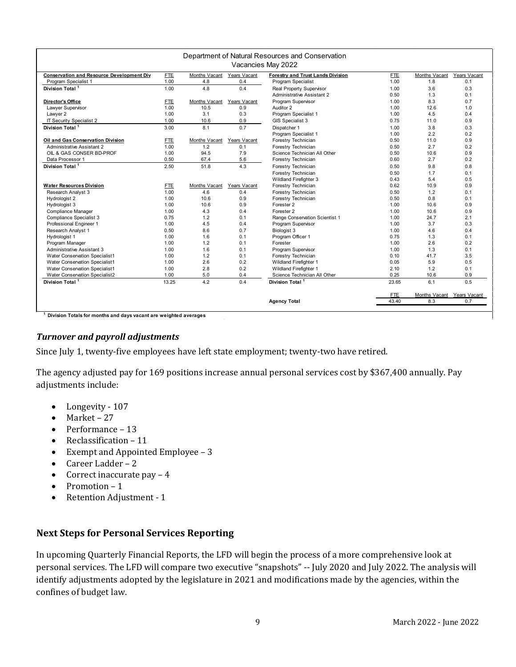| Department of Natural Resources and Conservation |            |               |              |                                   |            |               |                                                                  |  |  |  |  |
|--------------------------------------------------|------------|---------------|--------------|-----------------------------------|------------|---------------|------------------------------------------------------------------|--|--|--|--|
| Vacancies May 2022                               |            |               |              |                                   |            |               |                                                                  |  |  |  |  |
| <b>Conservation and Resource Development Div</b> | <b>FTE</b> | Months Vacant | Years Vacant | Forestry and Trust Lands Division | <b>FTE</b> | Months Vacant | Years Vacant                                                     |  |  |  |  |
| Program Specialist 1                             | 1.00       | 4.8           | 0.4          | Program Specialist                | 1.00       | 1.8           | 0.1                                                              |  |  |  |  |
| Division Total <sup>1</sup>                      | 1.00       | 4.8           | 0.4          | Real Property Supervisor          | 1.00       | 3.6           | 0.3                                                              |  |  |  |  |
|                                                  |            |               |              | Administrative Assistant 2        | 0.50       | 1.3           | 0.1                                                              |  |  |  |  |
| <b>Director's Office</b>                         | <b>FTE</b> | Months Vacant | Years Vacant | Program Supervisor                | 1.00       | 8.3           | 0.7                                                              |  |  |  |  |
| Lawyer Supervisor                                | 1.00       | 10.5          | 0.9          | Auditor 2                         | 1.00       | 12.6          | 1.0                                                              |  |  |  |  |
| Lawyer 2                                         | 1.00       | 3.1           | 0.3          | Program Specialist 1              | 1.00       | 4.5           | 0.4                                                              |  |  |  |  |
| IT Security Specialist 2                         | 1.00       | 10.6          | 0.9          | GIS Specialist 3                  | 0.75       | 11.0          | 0.9                                                              |  |  |  |  |
| Division Total <sup>1</sup>                      | 3.00       | 8.1           | 0.7          | Dispatcher 1                      | 1.00       | 3.8           | 0.3                                                              |  |  |  |  |
|                                                  |            |               |              | Program Specialist 1              | 1.00       | 2.2           | 0.2                                                              |  |  |  |  |
| Oil and Gas Conservation Division                | <b>FTE</b> | Months Vacant | Years Vacant | Forestry Technician               | 0.50       | 11.0          | 0.9                                                              |  |  |  |  |
| <b>Administrative Assistant 2</b>                | 1.00       | 1.2           | 0.1          | Forestry Technician               | 0.50       | 2.7           | 0.2                                                              |  |  |  |  |
| OIL & GAS CONSER BD-PROF                         | 1.00       | 94.5          | 7.9          | Science Technician All Other      | 0.50       | 10.6          | 0.9                                                              |  |  |  |  |
| Data Processor 1                                 | 0.50       | 67.4          | 5.6          | Forestry Technician               | 0.60       | 2.7           | 0.2                                                              |  |  |  |  |
| Division Total <sup>1</sup>                      | 2.50       | 51.8          | 4.3          | Forestry Technician               | 0.50       | 9.8           | 0.8                                                              |  |  |  |  |
|                                                  |            |               |              | Forestry Technician               | 0.50       | 1.7           | 0.1                                                              |  |  |  |  |
|                                                  |            |               |              | Wildland Firefighter 3            | 0.43       | 5.4           | 0.5                                                              |  |  |  |  |
| <b>Water Resources Division</b>                  | <b>FTE</b> | Months Vacant | Years Vacant | Forestry Technician               | 0.62       | 10.9          | 0.9                                                              |  |  |  |  |
| Research Analyst 3                               | 1.00       | 4.6           | 0.4          | Forestry Technician               | 0.50       | 1.2           | 0.1                                                              |  |  |  |  |
| Hydrologist 2                                    | 1.00       | 10.6          | 0.9          | Forestry Technician               | 0.50       | 0.8           | 0.1                                                              |  |  |  |  |
| Hydrologist 3                                    | 1.00       | 10.6          | 0.9          | Forester 2                        | 1.00       | 10.6          | 0.9                                                              |  |  |  |  |
| Compliance Manager                               | 1.00       | 4.3           | 0.4          | Forester 2                        | 1.00       | 10.6          | 0.9                                                              |  |  |  |  |
| Compliance Specialist 3                          | 0.75       | 1.2           | 0.1          | Range Conservation Scientist 1    | 1.00       | 24.7          | 2.1                                                              |  |  |  |  |
| Professional Engineer 1                          | 1.00       | 4.5           | 0.4          | Program Supervisor                | 1.00       | 3.7           | 0.3                                                              |  |  |  |  |
| Research Analyst 1                               | 0.50       | 8.6           | 0.7          | Biologist 3                       | 1.00       | 4.6           | 0.4                                                              |  |  |  |  |
| Hydrologist 1                                    | 1.00       | 1.6           | 0.1          | Program Officer 1                 | 0.75       | 1.3           | 0.1                                                              |  |  |  |  |
| Program Manager                                  | 1.00       | 1.2           | 0.1          | Forester                          | 1.00       | 2.6           | 0.2                                                              |  |  |  |  |
| Administrative Assistant 3                       | 1.00       | 1.6           | 0.1          | Program Supervisor                | 1.00       | 1.3           | 0.1                                                              |  |  |  |  |
| Water Conservation Specialist1                   | 1.00       | 1.2           | 0.1          | Forestry Technician               | 0.10       | 41.7          | 3.5                                                              |  |  |  |  |
| Water Conservation Specialist1                   | 1.00       | 2.6           | 0.2          | Wildland Firefighter 1            | 0.05       | 5.9           | 0.5                                                              |  |  |  |  |
| Water Conservation Specialist1                   | 1.00       | 2.8           | 0.2          | Wildland Firefighter 1            | 2.10       | 1.2           | 0.1                                                              |  |  |  |  |
| Water Conservation Specialist2                   | 1.00       | 5.0           | 0.4          | Science Technician All Other      | 0.25       | 10.6          | 0.9                                                              |  |  |  |  |
| Division Total <sup>1</sup>                      | 13.25      | 4.2           | 0.4          | Division Total <sup>1</sup>       | 23.65      | 6.1           | 0.5                                                              |  |  |  |  |
|                                                  |            |               |              |                                   | <b>FTE</b> | Months Vacant | Years Vacant                                                     |  |  |  |  |
|                                                  |            |               |              | <b>Agency Total</b>               | 43.40      | 8.3           | 0.7                                                              |  |  |  |  |
|                                                  |            |               |              |                                   |            |               | Division Totals for months and days vacant are weighted averages |  |  |  |  |

## *Turnover and payroll adjustments*

Since July 1, twenty-five employees have left state employment; twenty-two have retired.

The agency adjusted pay for 169 positions increase annual personal services cost by \$367,400 annually. Pay adjustments include:

- Longevity 107
- Market 27
- Performance 13
- Reclassification 11
- Exempt and Appointed Employee 3
- Career Ladder 2
- Correct inaccurate pay 4
- Promotion 1
- Retention Adjustment 1

## **Next Steps for Personal Services Reporting**

In upcoming Quarterly Financial Reports, the LFD will begin the process of a more comprehensive look at personal services. The LFD will compare two executive "snapshots" -- July 2020 and July 2022. The analysis will identify adjustments adopted by the legislature in 2021 and modifications made by the agencies, within the confines of budget law.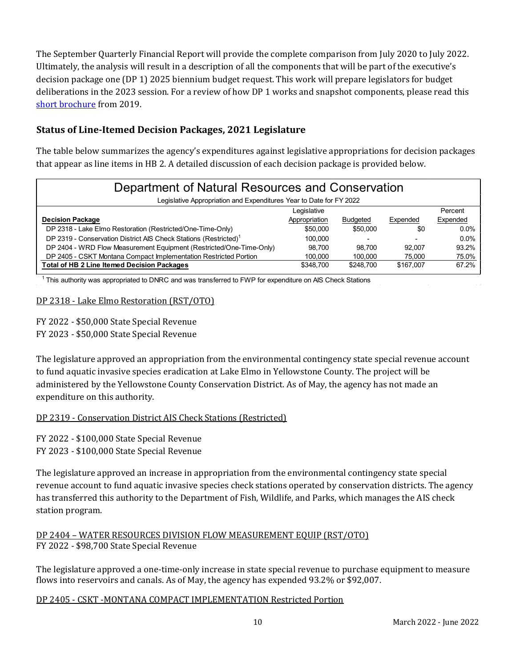The September Quarterly Financial Report will provide the complete comparison from July 2020 to July 2022. Ultimately, the analysis will result in a description of all the components that will be part of the executive's decision package one (DP 1) 2025 biennium budget request. This work will prepare legislators for budget deliberations in the 2023 session. For a review of how DP 1 works and snapshot components, please read this [short brochure](https://montana.maps.arcgis.com/apps/Cascade/index.html?appid=23095fcf15754f4fb38b63c58a884b97) from 2019.

## **Status of Line-Itemed Decision Packages, 2021 Legislature**

The table below summarizes the agency's expenditures against legislative appropriations for decision packages that appear as line items in HB 2. A detailed discussion of each decision package is provided below.

| Department of Natural Resources and Conservation                             |               |                 |           |          |  |  |  |  |
|------------------------------------------------------------------------------|---------------|-----------------|-----------|----------|--|--|--|--|
| Legislative Appropriation and Expenditures Year to Date for FY 2022          |               |                 |           |          |  |  |  |  |
|                                                                              | Legislative   |                 |           | Percent  |  |  |  |  |
| <b>Decision Package</b>                                                      | Appropriation | <b>Budgeted</b> | Expended  | Expended |  |  |  |  |
| DP 2318 - Lake Elmo Restoration (Restricted/One-Time-Only)                   | \$50,000      | \$50,000        | \$0       | $0.0\%$  |  |  |  |  |
| DP 2319 - Conservation District AIS Check Stations (Restricted) <sup>1</sup> | 100.000       | ۰               |           | $0.0\%$  |  |  |  |  |
| DP 2404 - WRD Flow Measurement Equipment (Restricted/One-Time-Only)          | 98.700        | 98.700          | 92.007    | 93.2%    |  |  |  |  |
| DP 2405 - CSKT Montana Compact Implementation Restricted Portion             | 100.000       | 100,000         | 75.000    | 75.0%    |  |  |  |  |
| <b>Total of HB 2 Line Itemed Decision Packages</b>                           | \$348,700     | \$248.700       | \$167,007 | 67.2%    |  |  |  |  |

<sup>1</sup> This authority was appropriated to DNRC and was transferred to FWP for expenditure on AIS Check Stations

## DP 2318 - Lake Elmo Restoration (RST/OTO)

FY 2022 - \$50,000 State Special Revenue FY 2023 - \$50,000 State Special Revenue

The legislature approved an appropriation from the environmental contingency state special revenue account to fund aquatic invasive species eradication at Lake Elmo in Yellowstone County. The project will be administered by the Yellowstone County Conservation District. As of May, the agency has not made an expenditure on this authority.

## DP 2319 - Conservation District AIS Check Stations (Restricted)

FY 2022 - \$100,000 State Special Revenue FY 2023 - \$100,000 State Special Revenue

The legislature approved an increase in appropriation from the environmental contingency state special revenue account to fund aquatic invasive species check stations operated by conservation districts. The agency has transferred this authority to the Department of Fish, Wildlife, and Parks, which manages the AIS check station program.

## DP 2404 – WATER RESOURCES DIVISION FLOW MEASUREMENT EQUIP (RST/OTO) FY 2022 - \$98,700 State Special Revenue

The legislature approved a one-time-only increase in state special revenue to purchase equipment to measure flows into reservoirs and canals. As of May, the agency has expended 93.2% or \$92,007.

DP 2405 - CSKT -MONTANA COMPACT IMPLEMENTATION Restricted Portion